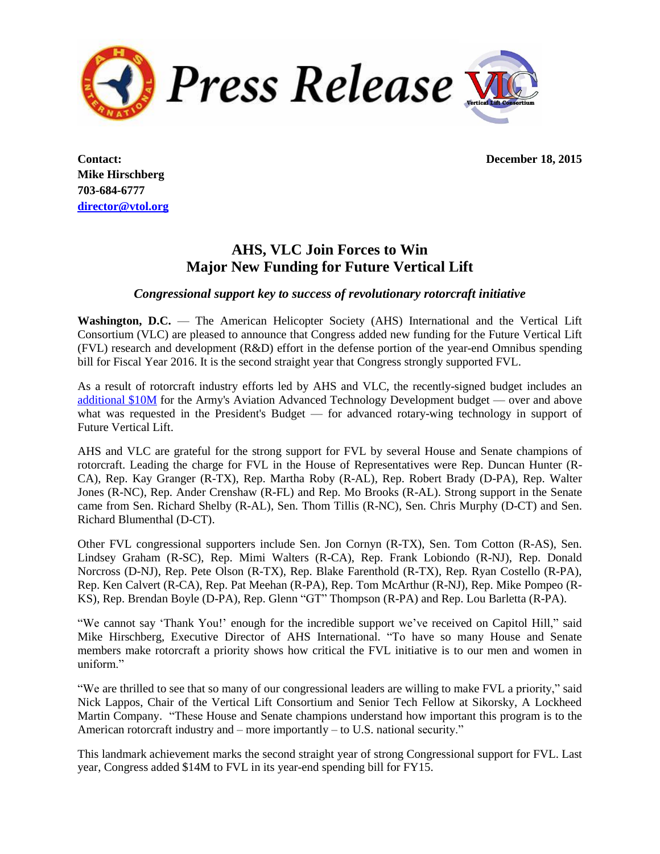

**Mike Hirschberg 703-684-6777 [director@vtol.org](mailto:director@vtol.org)**

**Contact: December 18, 2015**

## **AHS, VLC Join Forces to Win Major New Funding for Future Vertical Lift**

## *Congressional support key to success of revolutionary rotorcraft initiative*

**Washington, D.C.** — The American Helicopter Society (AHS) International and the Vertical Lift Consortium (VLC) are pleased to announce that Congress added new funding for the Future Vertical Lift (FVL) research and development (R&D) effort in the defense portion of the year-end Omnibus spending bill for Fiscal Year 2016. It is the second straight year that Congress strongly supported FVL.

As a result of rotorcraft industry efforts led by AHS and VLC, the recently-signed budget includes an [additional](http://vtol.org/0857F5F0-A505-11E5-B73F0050568D0042) \$10M for the Army's Aviation Advanced Technology Development budget — over and above what was requested in the President's Budget — for advanced rotary-wing technology in support of Future Vertical Lift.

AHS and VLC are grateful for the strong support for FVL by several House and Senate champions of rotorcraft. Leading the charge for FVL in the House of Representatives were Rep. Duncan Hunter (R-CA), Rep. Kay Granger (R-TX), Rep. Martha Roby (R-AL), Rep. Robert Brady (D-PA), Rep. Walter Jones (R-NC), Rep. Ander Crenshaw (R-FL) and Rep. Mo Brooks (R-AL). Strong support in the Senate came from Sen. Richard Shelby (R-AL), Sen. Thom Tillis (R-NC), Sen. Chris Murphy (D-CT) and Sen. Richard Blumenthal (D-CT).

Other FVL congressional supporters include Sen. Jon Cornyn (R-TX), Sen. Tom Cotton (R-AS), Sen. Lindsey Graham (R-SC), Rep. Mimi Walters (R-CA), Rep. Frank Lobiondo (R-NJ), Rep. Donald Norcross (D-NJ), Rep. Pete Olson (R-TX), Rep. Blake Farenthold (R-TX), Rep. Ryan Costello (R-PA), Rep. Ken Calvert (R-CA), Rep. Pat Meehan (R-PA), Rep. Tom McArthur (R-NJ), Rep. Mike Pompeo (R-KS), Rep. Brendan Boyle (D-PA), Rep. Glenn "GT" Thompson (R-PA) and Rep. Lou Barletta (R-PA).

"We cannot say 'Thank You!' enough for the incredible support we've received on Capitol Hill," said Mike Hirschberg, Executive Director of AHS International. "To have so many House and Senate members make rotorcraft a priority shows how critical the FVL initiative is to our men and women in uniform"

"We are thrilled to see that so many of our congressional leaders are willing to make FVL a priority," said Nick Lappos, Chair of the Vertical Lift Consortium and Senior Tech Fellow at Sikorsky, A Lockheed Martin Company. "These House and Senate champions understand how important this program is to the American rotorcraft industry and – more importantly – to U.S. national security."

This landmark achievement marks the second straight year of strong Congressional support for FVL. Last year, Congress added \$14M to FVL in its year-end spending bill for FY15.